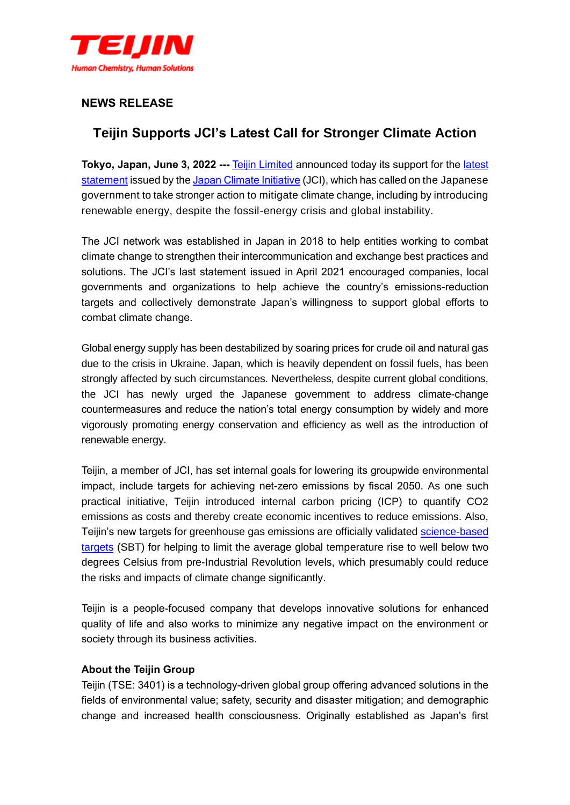

## **NEWS RELEASE**

## **Teijin Supports JCI's Latest Call for Stronger Climate Action**

**Tokyo, Japan, June 3, 2022 ---** [Teijin Limited](http://www.teijin.com/) announced today its support for the [latest](https://japanclimate.org/english/news-topics/jci-message-re-release/)  [statement](https://japanclimate.org/english/news-topics/jci-message-re-release/) issued by th[e Japan Climate Initiative](https://japanclimate.org/english/) (JCI), which has called on the Japanese government to take stronger action to mitigate climate change, including by introducing renewable energy, despite the fossil-energy crisis and global instability.

The JCI network was established in Japan in 2018 to help entities working to combat climate change to strengthen their intercommunication and exchange best practices and solutions. The JCI's last statement issued in April 2021 encouraged companies, local governments and organizations to help achieve the country's emissions-reduction targets and collectively demonstrate Japan's willingness to support global efforts to combat climate change.

Global energy supply has been destabilized by soaring prices for crude oil and natural gas due to the crisis in Ukraine. Japan, which is heavily dependent on fossil fuels, has been strongly affected by such circumstances. Nevertheless, despite current global conditions, the JCI has newly urged the Japanese government to address climate-change countermeasures and reduce the nation's total energy consumption by widely and more vigorously promoting energy conservation and efficiency as well as the introduction of renewable energy.

Teijin, a member of JCI, has set internal goals for lowering its groupwide environmental impact, include targets for achieving net-zero emissions by fiscal 2050. As one such practical initiative, Teijin introduced internal carbon pricing (ICP) to quantify CO2 emissions as costs and thereby create economic incentives to reduce emissions. Also, Teijin's new targets for greenhouse gas emissions are officially validated [science-based](https://sciencebasedtargets.org/)  [targets](https://sciencebasedtargets.org/) (SBT) for helping to limit the average global temperature rise to well below two degrees Celsius from pre-Industrial Revolution levels, which presumably could reduce the risks and impacts of climate change significantly.

Teijin is a people-focused company that develops innovative solutions for enhanced quality of life and also works to minimize any negative impact on the environment or society through its business activities.

## **About the Teijin Group**

Teijin (TSE: 3401) is a technology-driven global group offering advanced solutions in the fields of environmental value; safety, security and disaster mitigation; and demographic change and increased health consciousness. Originally established as Japan's first